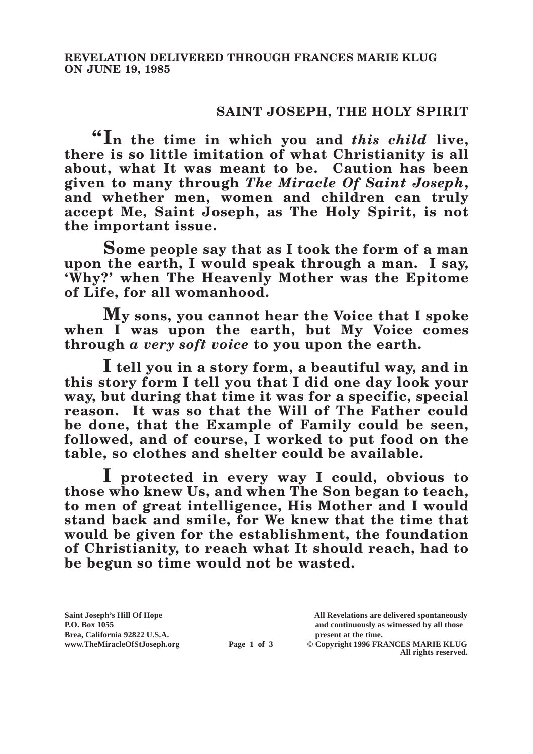## **SAINT JOSEPH, THE HOLY SPIRIT**

**"In the time in which you and** *this child* **live, there is so little imitation of what Christianity is all about, what It was meant to be. Caution has been given to many through** *The Miracle Of Saint Joseph***, and whether men, women and children can truly accept Me, Saint Joseph, as The Holy Spirit, is not the important issue.**

**Some people say that as I took the form of a man upon the earth, I would speak through a man. I say, 'Why?' when The Heavenly Mother was the Epitome of Life, for all womanhood.**

**My sons, you cannot hear the Voice that I spoke**  when I was upon the earth, but My Voice comes **through** *a very soft voice* **to you upon the earth.**

**I tell you in a story form, a beautiful way, and in this story form I tell you that I did one day look your way, but during that time it was for a specific, special reason. It was so that the Will of The Father could be done, that the Example of Family could be seen, followed, and of course, I worked to put food on the table, so clothes and shelter could be available.**

**I protected in every way I could, obvious to those who knew Us, and when The Son began to teach, to men of great intelligence, His Mother and I would stand back and smile, for We knew that the time that would be given for the establishment, the foundation of Christianity, to reach what It should reach, had to be begun so time would not be wasted.**

Brea, California 92822 U.S.A.<br>
www.TheMiracleOfStJoseph.org<br> **Page 1 of 3** © Copyright 1996 FR.

**Saint Joseph's Hill Of Hope All Revelations are delivered spontaneously P.O. Box 1055 and continuously as witnessed by all those** 

**Page 1 of 3** © Copyright 1996 FRANCES MARIE KLUG **All rights reserved.**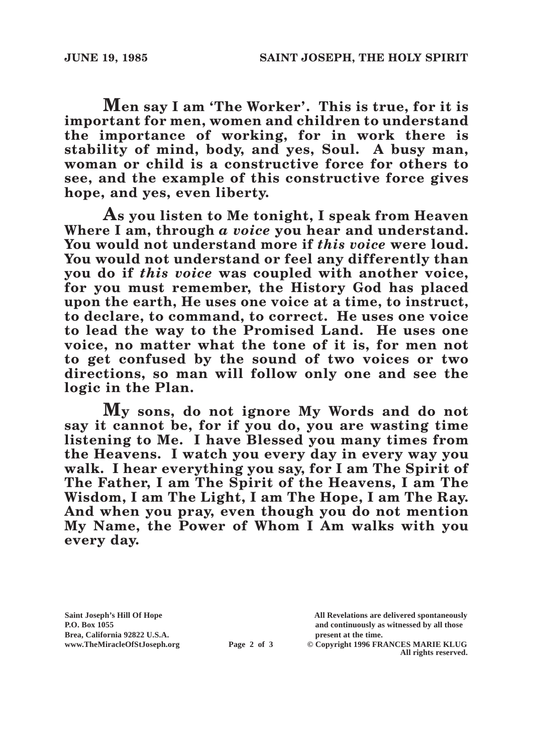**Men say I am 'The Worker'. This is true, for it is important for men, women and children to understand the importance of working, for in work there is stability of mind, body, and yes, Soul. A busy man, woman or child is a constructive force for others to see, and the example of this constructive force gives hope, and yes, even liberty.**

**As you listen to Me tonight, I speak from Heaven Where I am, through** *a voice* **you hear and understand. You would not understand more if** *this voice* **were loud. You would not understand or feel any differently than you do if** *this voice* **was coupled with another voice, for you must remember, the History God has placed upon the earth, He uses one voice at a time, to instruct, to declare, to command, to correct. He uses one voice to lead the way to the Promised Land. He uses one voice, no matter what the tone of it is, for men not to get confused by the sound of two voices or two directions, so man will follow only one and see the logic in the Plan.**

**My sons, do not ignore My Words and do not say it cannot be, for if you do, you are wasting time listening to Me. I have Blessed you many times from the Heavens. I watch you every day in every way you walk. I hear everything you say, for I am The Spirit of The Father, I am The Spirit of the Heavens, I am The Wisdom, I am The Light, I am The Hope, I am The Ray. And when you pray, even though you do not mention My Name, the Power of Whom I Am walks with you every day.**

**Brea, California 92822 U.S.A. present at the time.**<br> **Page 2 of 3** © Copyright 1996 FR.

**Saint Joseph's Hill Of Hope All Revelations are delivered spontaneously P.O. Box 1055 and continuously as witnessed by all those** 

**Page 2 of 3** © Copyright 1996 FRANCES MARIE KLUG **All rights reserved.**